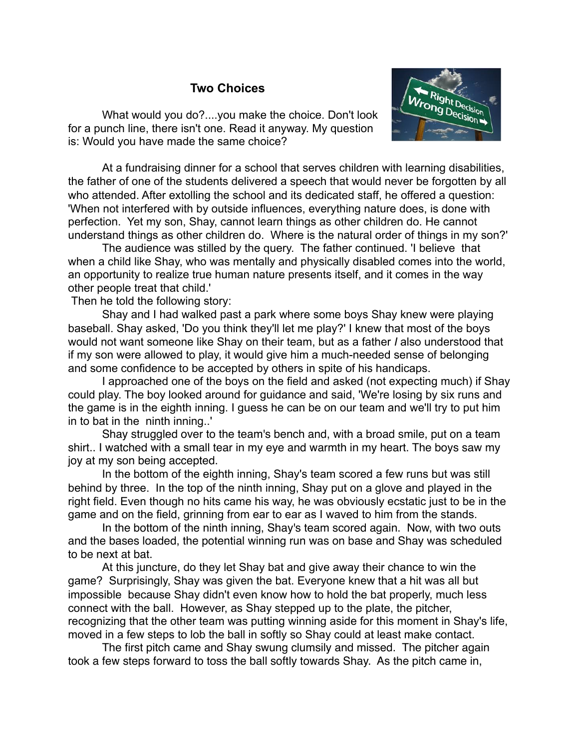## **Two Choices**



What would you do?....you make the choice. Don't look for a punch line, there isn't one. Read it anyway. My question is: Would you have made the same choice?

 At a fundraising dinner for a school that serves children with learning disabilities, the father of one of the students delivered a speech that would never be forgotten by all who attended. After extolling the school and its dedicated staff, he offered a question: 'When not interfered with by outside influences, everything nature does, is done with perfection. Yet my son, Shay, cannot learn things as other children do. He cannot understand things as other children do. Where is the natural order of things in my son?'

 The audience was stilled by the query. The father continued. 'I believe that when a child like Shay, who was mentally and physically disabled comes into the world, an opportunity to realize true human nature presents itself, and it comes in the way other people treat that child.'

Then he told the following story:

 Shay and I had walked past a park where some boys Shay knew were playing baseball. Shay asked, 'Do you think they'll let me play?' I knew that most of the boys would not want someone like Shay on their team, but as a father *I* also understood that if my son were allowed to play, it would give him a much-needed sense of belonging and some confidence to be accepted by others in spite of his handicaps.

I approached one of the boys on the field and asked (not expecting much) if Shay could play. The boy looked around for guidance and said, 'We're losing by six runs and the game is in the eighth inning. I guess he can be on our team and we'll try to put him in to bat in the ninth inning..'

 Shay struggled over to the team's bench and, with a broad smile, put on a team shirt.. I watched with a small tear in my eye and warmth in my heart. The boys saw my joy at my son being accepted.

In the bottom of the eighth inning, Shay's team scored a few runs but was still behind by three. In the top of the ninth inning, Shay put on a glove and played in the right field. Even though no hits came his way, he was obviously ecstatic just to be in the game and on the field, grinning from ear to ear as I waved to him from the stands.

In the bottom of the ninth inning, Shay's team scored again. Now, with two outs and the bases loaded, the potential winning run was on base and Shay was scheduled to be next at bat.

At this juncture, do they let Shay bat and give away their chance to win the game? Surprisingly, Shay was given the bat. Everyone knew that a hit was all but impossible because Shay didn't even know how to hold the bat properly, much less connect with the ball. However, as Shay stepped up to the plate, the pitcher, recognizing that the other team was putting winning aside for this moment in Shay's life, moved in a few steps to lob the ball in softly so Shay could at least make contact.

The first pitch came and Shay swung clumsily and missed. The pitcher again took a few steps forward to toss the ball softly towards Shay. As the pitch came in,